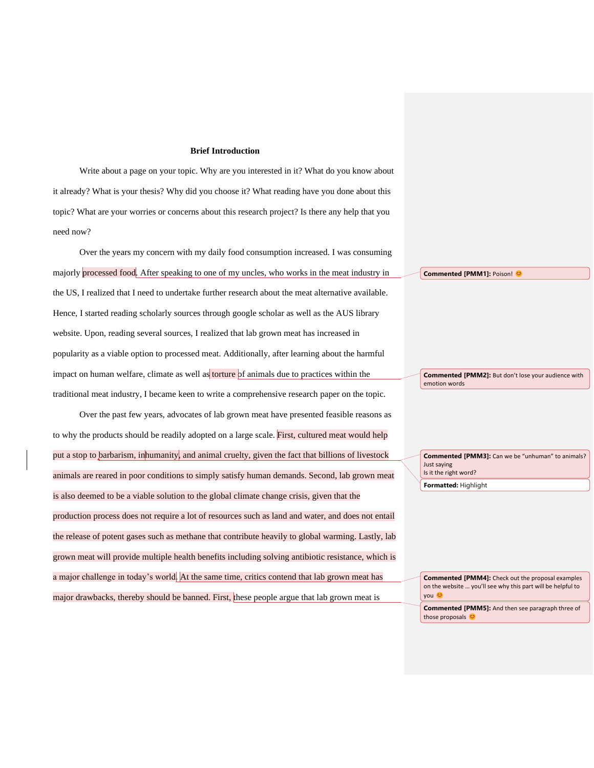## **Brief Introduction**

Write about a page on your topic. Why are you interested in it? What do you know about it already? What is your thesis? Why did you choose it? What reading have you done about this topic? What are your worries or concerns about this research project? Is there any help that you need now?

Over the years my concern with my daily food consumption increased. I was consuming majorly processed food. After speaking to one of my uncles, who works in the meat industry in the US, I realized that I need to undertake further research about the meat alternative available. Hence, I started reading scholarly sources through google scholar as well as the AUS library website. Upon, reading several sources, I realized that lab grown meat has increased in popularity as a viable option to processed meat. Additionally, after learning about the harmful impact on human welfare, climate as well as torture of animals due to practices within the traditional meat industry, I became keen to write a comprehensive research paper on the topic.

Over the past few years, advocates of lab grown meat have presented feasible reasons as to why the products should be readily adopted on a large scale. First, cultured meat would help put a stop to barbarism, inhumanity, and animal cruelty, given the fact that billions of livestock animals are reared in poor conditions to simply satisfy human demands. Second, lab grown meat is also deemed to be a viable solution to the global climate change crisis, given that the production process does not require a lot of resources such as land and water, and does not entail the release of potent gases such as methane that contribute heavily to global warming. Lastly, lab grown meat will provide multiple health benefits including solving antibiotic resistance, which is a major challenge in today's world. At the same time, critics contend that lab grown meat has major drawbacks, thereby should be banned. First, these people argue that lab grown meat is

**Commented [PMM1]: Poison! @** 

**Commented [PMM2]:** But don't lose your audience with emotion words

**Formatted:** Highlight **Commented [PMM3]:** Can we be "unhuman" to animals? Just saying Is it the right word?

**Commented [PMM4]:** Check out the proposal examples on the website … you'll see why this part will be helpful to you <del>©</del> **Commented [PMM5]:** And then see paragraph three of

those proposals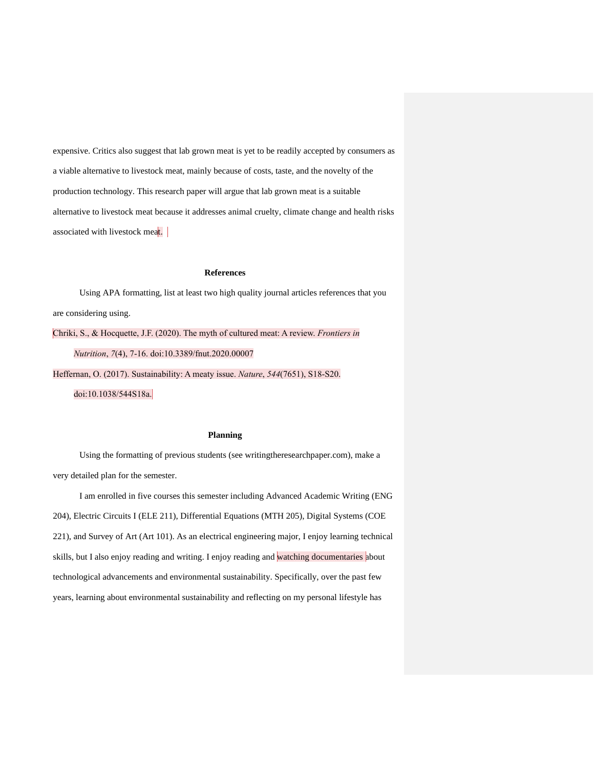expensive. Critics also suggest that lab grown meat is yet to be readily accepted by consumers as a viable alternative to livestock meat, mainly because of costs, taste, and the novelty of the production technology. This research paper will argue that lab grown meat is a suitable alternative to livestock meat because it addresses animal cruelty, climate change and health risks associated with livestock meat.

## **References**

Using APA formatting, list at least two high quality journal articles references that you are considering using.

Chriki, S., & Hocquette, J.F. (2020). The myth of cultured meat: A review. *Frontiers in Nutrition*, *7*(4), 7-16. doi:10.3389/fnut.2020.00007

Heffernan, O. (2017). Sustainability: A meaty issue. *Nature*, *544*(7651), S18-S20. doi:10.1038/544S18a.

## **Planning**

Using the formatting of previous students (see writingtheresearchpaper.com), make a very detailed plan for the semester.

I am enrolled in five courses this semester including Advanced Academic Writing (ENG 204), Electric Circuits I (ELE 211), Differential Equations (MTH 205), Digital Systems (COE 221), and Survey of Art (Art 101). As an electrical engineering major, I enjoy learning technical skills, but I also enjoy reading and writing. I enjoy reading and watching documentaries about technological advancements and environmental sustainability. Specifically, over the past few years, learning about environmental sustainability and reflecting on my personal lifestyle has